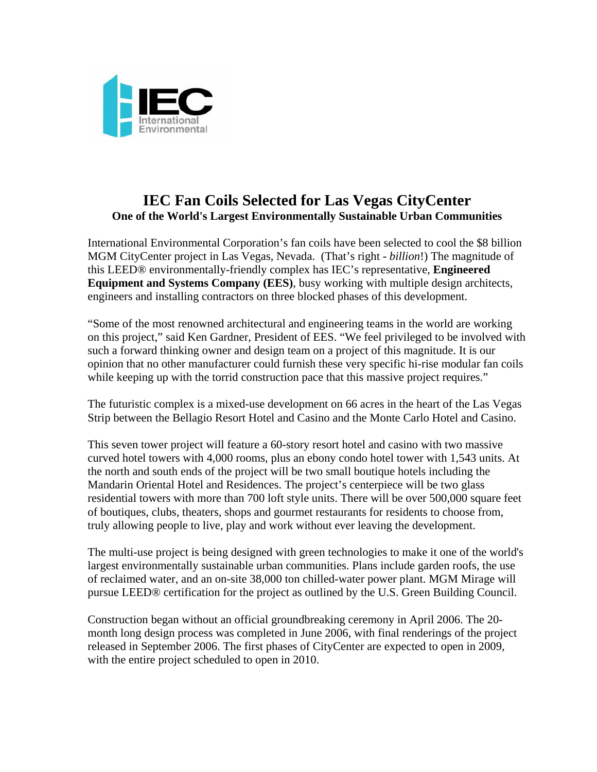

## **IEC Fan Coils Selected for Las Vegas CityCenter One of the World's Largest Environmentally Sustainable Urban Communities**

International Environmental Corporation's fan coils have been selected to cool the \$8 billion MGM CityCenter project in Las Vegas, Nevada. (That's right - *billion*!) The magnitude of this LEED® environmentally-friendly complex has IEC's representative, **Engineered Equipment and Systems Company (EES)**, busy working with multiple design architects, engineers and installing contractors on three blocked phases of this development.

"Some of the most renowned architectural and engineering teams in the world are working on this project," said Ken Gardner, President of EES. "We feel privileged to be involved with such a forward thinking owner and design team on a project of this magnitude. It is our opinion that no other manufacturer could furnish these very specific hi-rise modular fan coils while keeping up with the torrid construction pace that this massive project requires."

The futuristic complex is a mixed-use development on 66 acres in the heart of the Las Vegas Strip between the Bellagio Resort Hotel and Casino and the Monte Carlo Hotel and Casino.

This seven tower project will feature a 60-story resort hotel and casino with two massive curved hotel towers with 4,000 rooms, plus an ebony condo hotel tower with 1,543 units. At the north and south ends of the project will be two small boutique hotels including the Mandarin Oriental Hotel and Residences. The project's centerpiece will be two glass residential towers with more than 700 loft style units. There will be over 500,000 square feet of boutiques, clubs, theaters, shops and gourmet restaurants for residents to choose from, truly allowing people to live, play and work without ever leaving the development.

The multi-use project is being designed with [green technologies](http://en.wikipedia.org/wiki/Green_technology) to make it one of the world's largest environmentally sustainable urban communities. Plans include garden roofs, the use of [reclaimed water,](http://en.wikipedia.org/wiki/Reclaimed_water) and an on-site 38,000 ton chilled-water power plant. MGM Mirage will pursue [LEED®](http://en.wikipedia.org/wiki/Leadership_in_Energy_and_Environmental_Design) certification for the project as outlined by the [U.S. Green Building Council](http://en.wikipedia.org/wiki/Green_building#U.S._Green_Building_Council).

Construction began without an official groundbreaking ceremony in April [2006](http://en.wikipedia.org/wiki/2006). The 20 month long design process was completed in June 2006, with final renderings of the project released in September 2006. The first phases of CityCenter are expected to open in [2009,](http://en.wikipedia.org/wiki/2009) with the entire project scheduled to open in [2010.](http://en.wikipedia.org/wiki/2010)